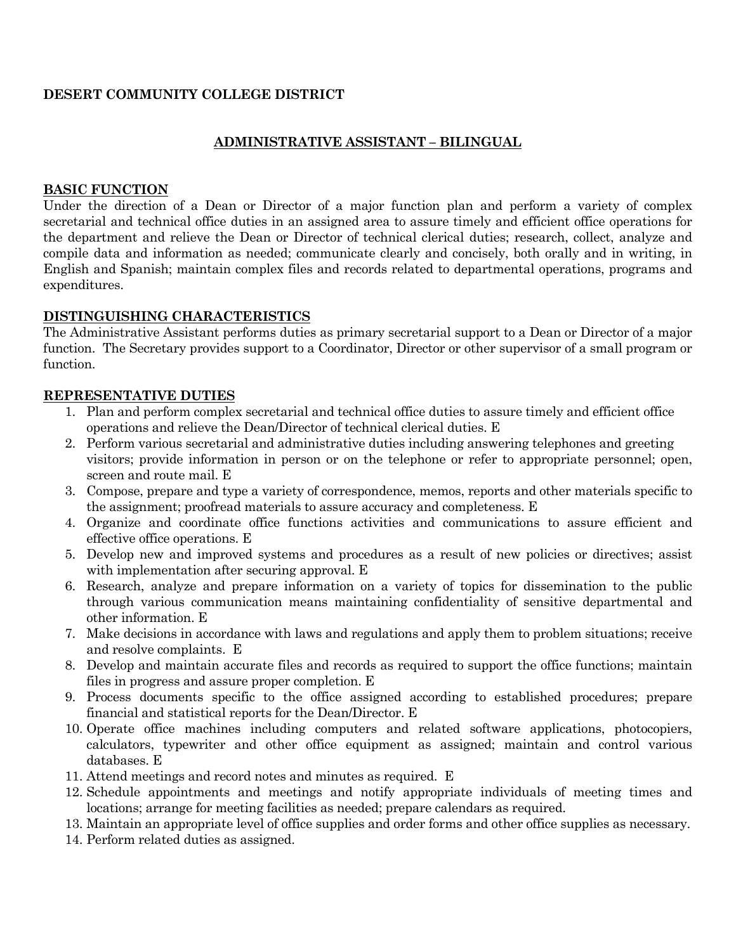## **DESERT COMMUNITY COLLEGE DISTRICT**

## **ADMINISTRATIVE ASSISTANT – BILINGUAL**

#### **BASIC FUNCTION**

Under the direction of a Dean or Director of a major function plan and perform a variety of complex secretarial and technical office duties in an assigned area to assure timely and efficient office operations for the department and relieve the Dean or Director of technical clerical duties; research, collect, analyze and compile data and information as needed; communicate clearly and concisely, both orally and in writing, in English and Spanish; maintain complex files and records related to departmental operations, programs and expenditures.

### **DISTINGUISHING CHARACTERISTICS**

The Administrative Assistant performs duties as primary secretarial support to a Dean or Director of a major function. The Secretary provides support to a Coordinator, Director or other supervisor of a small program or function.

### **REPRESENTATIVE DUTIES**

- 1. Plan and perform complex secretarial and technical office duties to assure timely and efficient office operations and relieve the Dean/Director of technical clerical duties. E
- 2. Perform various secretarial and administrative duties including answering telephones and greeting visitors; provide information in person or on the telephone or refer to appropriate personnel; open, screen and route mail. E
- 3. Compose, prepare and type a variety of correspondence, memos, reports and other materials specific to the assignment; proofread materials to assure accuracy and completeness. E
- 4. Organize and coordinate office functions activities and communications to assure efficient and effective office operations. E
- 5. Develop new and improved systems and procedures as a result of new policies or directives; assist with implementation after securing approval. E
- 6. Research, analyze and prepare information on a variety of topics for dissemination to the public through various communication means maintaining confidentiality of sensitive departmental and other information. E
- 7. Make decisions in accordance with laws and regulations and apply them to problem situations; receive and resolve complaints. E
- 8. Develop and maintain accurate files and records as required to support the office functions; maintain files in progress and assure proper completion. E
- 9. Process documents specific to the office assigned according to established procedures; prepare financial and statistical reports for the Dean/Director. E
- 10. Operate office machines including computers and related software applications, photocopiers, calculators, typewriter and other office equipment as assigned; maintain and control various databases. E
- 11. Attend meetings and record notes and minutes as required. E
- 12. Schedule appointments and meetings and notify appropriate individuals of meeting times and locations; arrange for meeting facilities as needed; prepare calendars as required.
- 13. Maintain an appropriate level of office supplies and order forms and other office supplies as necessary.
- 14. Perform related duties as assigned.